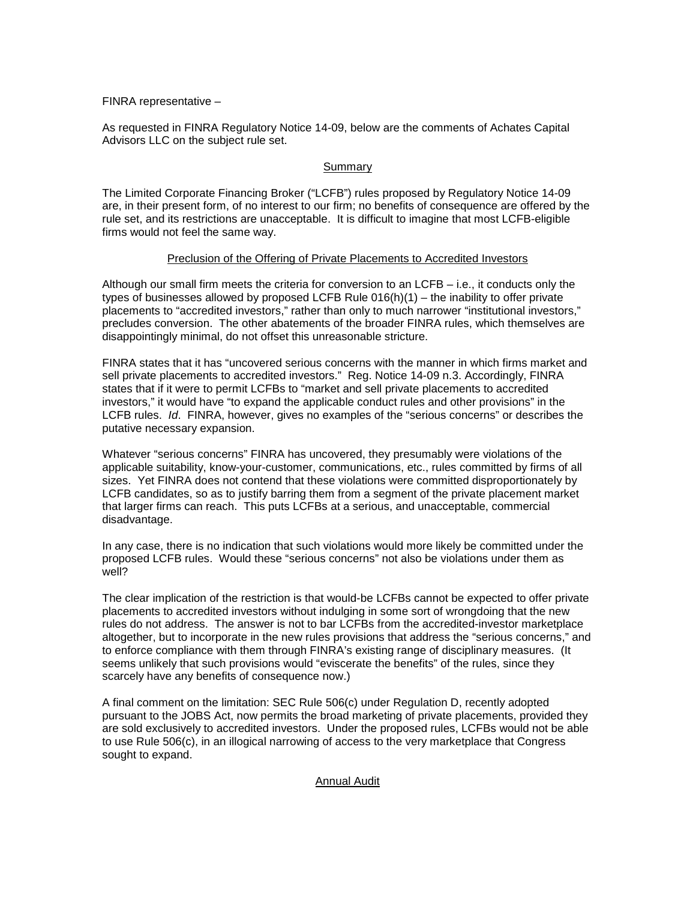FINRA representative –

As requested in FINRA Regulatory Notice 14-09, below are the comments of Achates Capital Advisors LLC on the subject rule set.

## Summary

The Limited Corporate Financing Broker ("LCFB") rules proposed by Regulatory Notice 14-09 are, in their present form, of no interest to our firm; no benefits of consequence are offered by the rule set, and its restrictions are unacceptable. It is difficult to imagine that most LCFB-eligible firms would not feel the same way.

### Preclusion of the Offering of Private Placements to Accredited Investors

Although our small firm meets the criteria for conversion to an LCFB – i.e., it conducts only the types of businesses allowed by proposed LCFB Rule 016(h)(1) – the inability to offer private placements to "accredited investors," rather than only to much narrower "institutional investors," precludes conversion. The other abatements of the broader FINRA rules, which themselves are disappointingly minimal, do not offset this unreasonable stricture.

FINRA states that it has "uncovered serious concerns with the manner in which firms market and sell private placements to accredited investors." Reg. Notice 14-09 n.3. Accordingly, FINRA states that if it were to permit LCFBs to "market and sell private placements to accredited investors," it would have "to expand the applicable conduct rules and other provisions" in the LCFB rules. *Id*. FINRA, however, gives no examples of the "serious concerns" or describes the putative necessary expansion.

Whatever "serious concerns" FINRA has uncovered, they presumably were violations of the applicable suitability, know-your-customer, communications, etc., rules committed by firms of all sizes. Yet FINRA does not contend that these violations were committed disproportionately by LCFB candidates, so as to justify barring them from a segment of the private placement market that larger firms can reach. This puts LCFBs at a serious, and unacceptable, commercial disadvantage.

In any case, there is no indication that such violations would more likely be committed under the proposed LCFB rules. Would these "serious concerns" not also be violations under them as well?

The clear implication of the restriction is that would-be LCFBs cannot be expected to offer private placements to accredited investors without indulging in some sort of wrongdoing that the new rules do not address. The answer is not to bar LCFBs from the accredited-investor marketplace altogether, but to incorporate in the new rules provisions that address the "serious concerns," and to enforce compliance with them through FINRA's existing range of disciplinary measures. (It seems unlikely that such provisions would "eviscerate the benefits" of the rules, since they scarcely have any benefits of consequence now.)

A final comment on the limitation: SEC Rule 506(c) under Regulation D, recently adopted pursuant to the JOBS Act, now permits the broad marketing of private placements, provided they are sold exclusively to accredited investors. Under the proposed rules, LCFBs would not be able to use Rule 506(c), in an illogical narrowing of access to the very marketplace that Congress sought to expand.

Annual Audit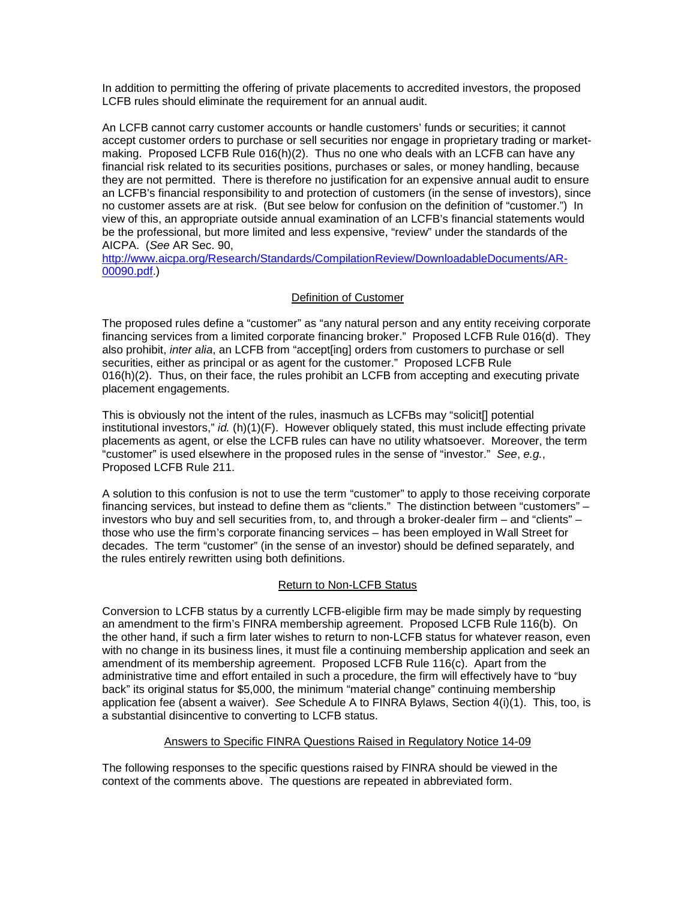In addition to permitting the offering of private placements to accredited investors, the proposed LCFB rules should eliminate the requirement for an annual audit.

An LCFB cannot carry customer accounts or handle customers' funds or securities; it cannot accept customer orders to purchase or sell securities nor engage in proprietary trading or marketmaking. Proposed LCFB Rule 016(h)(2). Thus no one who deals with an LCFB can have any financial risk related to its securities positions, purchases or sales, or money handling, because they are not permitted. There is therefore no justification for an expensive annual audit to ensure an LCFB's financial responsibility to and protection of customers (in the sense of investors), since no customer assets are at risk. (But see below for confusion on the definition of "customer.") In view of this, an appropriate outside annual examination of an LCFB's financial statements would be the professional, but more limited and less expensive, "review" under the standards of the AICPA. (*See* AR Sec. 90,

[http://www.aicpa.org/Research/Standards/CompilationReview/DownloadableDocuments/AR-](http://www.aicpa.org/Research/Standards/CompilationReview/DownloadableDocuments/AR-00090.pdf)[00090.pdf.](http://www.aicpa.org/Research/Standards/CompilationReview/DownloadableDocuments/AR-00090.pdf))

# Definition of Customer

The proposed rules define a "customer" as "any natural person and any entity receiving corporate financing services from a limited corporate financing broker." Proposed LCFB Rule 016(d). They also prohibit, *inter alia*, an LCFB from "accept[ing] orders from customers to purchase or sell securities, either as principal or as agent for the customer." Proposed LCFB Rule 016(h)(2). Thus, on their face, the rules prohibit an LCFB from accepting and executing private placement engagements.

This is obviously not the intent of the rules, inasmuch as LCFBs may "solicit[] potential institutional investors," *id.* (h)(1)(F). However obliquely stated, this must include effecting private placements as agent, or else the LCFB rules can have no utility whatsoever. Moreover, the term "customer" is used elsewhere in the proposed rules in the sense of "investor." *See*, *e.g.*, Proposed LCFB Rule 211.

A solution to this confusion is not to use the term "customer" to apply to those receiving corporate financing services, but instead to define them as "clients." The distinction between "customers" – investors who buy and sell securities from, to, and through a broker-dealer firm – and "clients" – those who use the firm's corporate financing services – has been employed in Wall Street for decades. The term "customer" (in the sense of an investor) should be defined separately, and the rules entirely rewritten using both definitions.

## Return to Non-LCFB Status

Conversion to LCFB status by a currently LCFB-eligible firm may be made simply by requesting an amendment to the firm's FINRA membership agreement. Proposed LCFB Rule 116(b). On the other hand, if such a firm later wishes to return to non-LCFB status for whatever reason, even with no change in its business lines, it must file a continuing membership application and seek an amendment of its membership agreement. Proposed LCFB Rule 116(c). Apart from the administrative time and effort entailed in such a procedure, the firm will effectively have to "buy back" its original status for \$5,000, the minimum "material change" continuing membership application fee (absent a waiver). *See* Schedule A to FINRA Bylaws, Section 4(i)(1). This, too, is a substantial disincentive to converting to LCFB status.

## Answers to Specific FINRA Questions Raised in Regulatory Notice 14-09

The following responses to the specific questions raised by FINRA should be viewed in the context of the comments above. The questions are repeated in abbreviated form.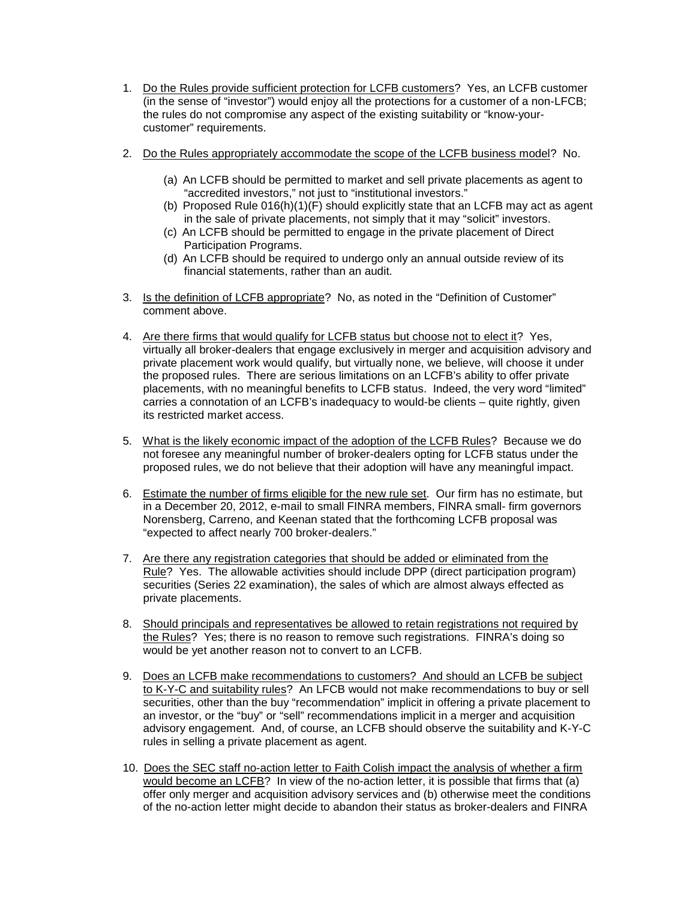- 1. Do the Rules provide sufficient protection for LCFB customers? Yes, an LCFB customer (in the sense of "investor") would enjoy all the protections for a customer of a non-LFCB; the rules do not compromise any aspect of the existing suitability or "know-yourcustomer" requirements.
- 2. Do the Rules appropriately accommodate the scope of the LCFB business model? No.
	- (a) An LCFB should be permitted to market and sell private placements as agent to "accredited investors," not just to "institutional investors."
	- (b) Proposed Rule 016(h)(1)(F) should explicitly state that an LCFB may act as agent in the sale of private placements, not simply that it may "solicit" investors.
	- (c) An LCFB should be permitted to engage in the private placement of Direct Participation Programs.
	- (d) An LCFB should be required to undergo only an annual outside review of its financial statements, rather than an audit.
- 3. Is the definition of LCFB appropriate? No, as noted in the "Definition of Customer" comment above.
- 4. Are there firms that would qualify for LCFB status but choose not to elect it? Yes, virtually all broker-dealers that engage exclusively in merger and acquisition advisory and private placement work would qualify, but virtually none, we believe, will choose it under the proposed rules. There are serious limitations on an LCFB's ability to offer private placements, with no meaningful benefits to LCFB status. Indeed, the very word "limited" carries a connotation of an LCFB's inadequacy to would-be clients – quite rightly, given its restricted market access.
- 5. What is the likely economic impact of the adoption of the LCFB Rules? Because we do not foresee any meaningful number of broker-dealers opting for LCFB status under the proposed rules, we do not believe that their adoption will have any meaningful impact.
- 6. Estimate the number of firms eligible for the new rule set. Our firm has no estimate, but in a December 20, 2012, e-mail to small FINRA members, FINRA small- firm governors Norensberg, Carreno, and Keenan stated that the forthcoming LCFB proposal was "expected to affect nearly 700 broker-dealers."
- 7. Are there any registration categories that should be added or eliminated from the Rule? Yes. The allowable activities should include DPP (direct participation program) securities (Series 22 examination), the sales of which are almost always effected as private placements.
- 8. Should principals and representatives be allowed to retain registrations not required by the Rules? Yes; there is no reason to remove such registrations. FINRA's doing so would be yet another reason not to convert to an LCFB.
- 9. Does an LCFB make recommendations to customers? And should an LCFB be subject to K-Y-C and suitability rules? An LFCB would not make recommendations to buy or sell securities, other than the buy "recommendation" implicit in offering a private placement to an investor, or the "buy" or "sell" recommendations implicit in a merger and acquisition advisory engagement. And, of course, an LCFB should observe the suitability and K-Y-C rules in selling a private placement as agent.
- 10. Does the SEC staff no-action letter to Faith Colish impact the analysis of whether a firm would become an LCFB? In view of the no-action letter, it is possible that firms that (a) offer only merger and acquisition advisory services and (b) otherwise meet the conditions of the no-action letter might decide to abandon their status as broker-dealers and FINRA